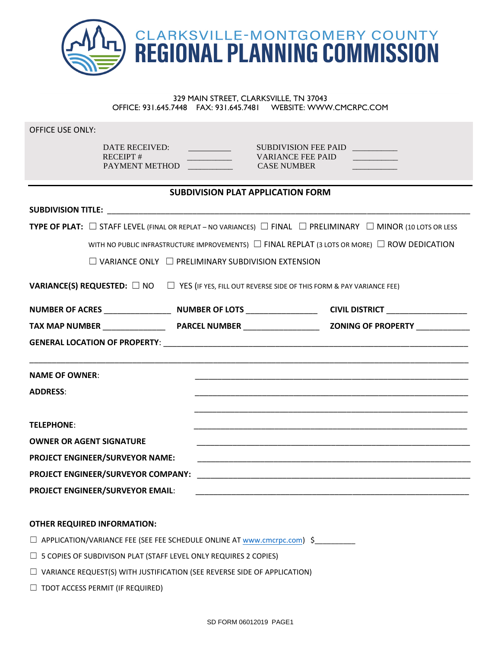

# 329 MAIN STREET, CLARKSVILLE, TN 37043 OFFICE: 931.645.7448 FAX: 931.645.7481 WEBSITE: WWW.CMCRPC.COM

OFFICE USE ONLY:

RECEIPT # \_\_\_\_\_\_\_\_\_\_\_ VARIANCE FEE PAID \_\_\_\_\_\_\_\_\_\_\_ PAYMENT METHOD CASE NUMBER

DATE RECEIVED: SUBDIVISION FEE PAID \_\_\_\_\_\_\_\_\_\_\_

## **SUBDIVISION PLAT APPLICATION FORM**

| <b>TYPE OF PLAT:</b> $\Box$ STAFF LEVEL (FINAL OR REPLAT – NO VARIANCES) $\Box$ FINAL $\Box$ PRELIMINARY $\Box$ MINOR (10 LOTS OR LESS |                                 |  |  |
|----------------------------------------------------------------------------------------------------------------------------------------|---------------------------------|--|--|
| WITH NO PUBLIC INFRASTRUCTURE IMPROVEMENTS) $\Box$ FINAL REPLAT (3 LOTS OR MORE) $\Box$ ROW DEDICATION                                 |                                 |  |  |
| $\Box$ VARIANCE ONLY $\Box$ PRELIMINARY SUBDIVISION EXTENSION                                                                          |                                 |  |  |
| <b>VARIANCE(S) REQUESTED:</b> $\Box$ NO $\Box$ YES (IF YES, FILL OUT REVERSE SIDE OF THIS FORM & PAY VARIANCE FEE)                     |                                 |  |  |
|                                                                                                                                        |                                 |  |  |
|                                                                                                                                        |                                 |  |  |
|                                                                                                                                        |                                 |  |  |
| ,我们也不能在这里的时候,我们也不能在这里的时候,我们也不能在这里的时候,我们也不能会不能会不能会不能会不能会不能会不能会。""我们的时候,我们也不能会不能会不                                                       |                                 |  |  |
| <b>NAME OF OWNER:</b>                                                                                                                  |                                 |  |  |
| <b>ADDRESS:</b>                                                                                                                        |                                 |  |  |
|                                                                                                                                        |                                 |  |  |
| <b>TELEPHONE:</b>                                                                                                                      |                                 |  |  |
| <b>OWNER OR AGENT SIGNATURE</b>                                                                                                        |                                 |  |  |
|                                                                                                                                        | PROJECT ENGINEER/SURVEYOR NAME: |  |  |
|                                                                                                                                        |                                 |  |  |
| <b>PROJECT ENGINEER/SURVEYOR EMAIL:</b>                                                                                                |                                 |  |  |

#### **OTHER REQUIRED INFORMATION:**

□ APPLICATION/VARIANCE FEE (SEE FEE SCHEDULE ONLINE AT [www.cmcrpc.com](http://www.cmcrpc.com/aboutUs.php)) \$\_\_\_\_\_\_\_\_\_

- $\Box$  5 COPIES OF SUBDIVISON PLAT (STAFF LEVEL ONLY REQUIRES 2 COPIES)
- ☐ VARIANCE REQUEST(S) WITH JUSTIFICATION (SEE REVERSE SIDE OF APPLICATION)
- $\Box$  TDOT ACCESS PERMIT (IF REQUIRED)